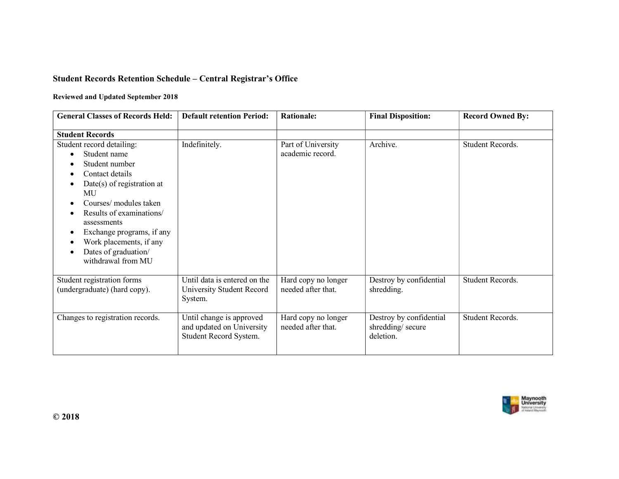## Student Records Retention Schedule – Central Registrar's Office

## Reviewed and Updated September 2018

| <b>General Classes of Records Held:</b>                                                                                                                                                                                                                                                                         | <b>Default retention Period:</b>                                                | <b>Rationale:</b>                         | <b>Final Disposition:</b>                                | <b>Record Owned By:</b> |
|-----------------------------------------------------------------------------------------------------------------------------------------------------------------------------------------------------------------------------------------------------------------------------------------------------------------|---------------------------------------------------------------------------------|-------------------------------------------|----------------------------------------------------------|-------------------------|
| <b>Student Records</b>                                                                                                                                                                                                                                                                                          |                                                                                 |                                           |                                                          |                         |
| Student record detailing:<br>Student name<br>$\bullet$<br>Student number<br>Contact details<br>Date(s) of registration at<br>MU<br>Courses/ modules taken<br>Results of examinations/<br>assessments<br>Exchange programs, if any<br>٠<br>Work placements, if any<br>Dates of graduation/<br>withdrawal from MU | Indefinitely.                                                                   | Part of University<br>academic record.    | Archive.                                                 | Student Records.        |
| Student registration forms<br>(undergraduate) (hard copy).                                                                                                                                                                                                                                                      | Until data is entered on the<br>University Student Record<br>System.            | Hard copy no longer<br>needed after that. | Destroy by confidential<br>shredding.                    | Student Records.        |
| Changes to registration records.                                                                                                                                                                                                                                                                                | Until change is approved<br>and updated on University<br>Student Record System. | Hard copy no longer<br>needed after that. | Destroy by confidential<br>shredding/secure<br>deletion. | Student Records.        |

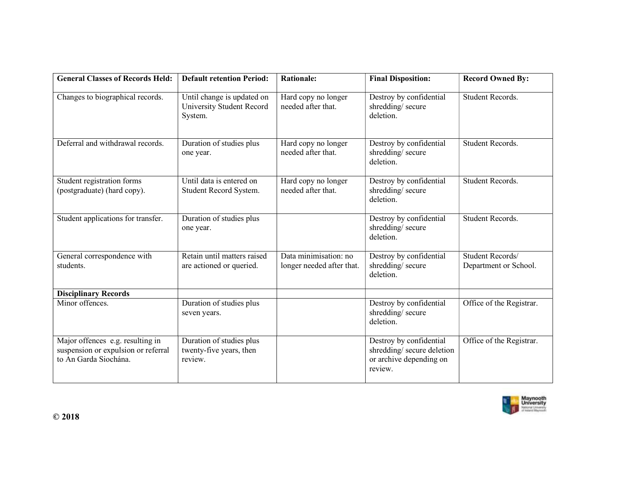| <b>General Classes of Records Held:</b>                                                          | <b>Default retention Period:</b>                                   | <b>Rationale:</b>                                  | <b>Final Disposition:</b>                                                                  | <b>Record Owned By:</b>                   |
|--------------------------------------------------------------------------------------------------|--------------------------------------------------------------------|----------------------------------------------------|--------------------------------------------------------------------------------------------|-------------------------------------------|
| Changes to biographical records.                                                                 | Until change is updated on<br>University Student Record<br>System. | Hard copy no longer<br>needed after that.          | Destroy by confidential<br>shredding/secure<br>deletion.                                   | Student Records.                          |
| Deferral and withdrawal records.                                                                 | Duration of studies plus<br>one year.                              | Hard copy no longer<br>needed after that.          | Destroy by confidential<br>shredding/secure<br>deletion.                                   | Student Records.                          |
| Student registration forms<br>(postgraduate) (hard copy).                                        | Until data is entered on<br>Student Record System.                 | Hard copy no longer<br>needed after that.          | Destroy by confidential<br>shredding/secure<br>deletion.                                   | Student Records.                          |
| Student applications for transfer.                                                               | Duration of studies plus<br>one year.                              |                                                    | Destroy by confidential<br>shredding/secure<br>deletion.                                   | Student Records.                          |
| General correspondence with<br>students.                                                         | Retain until matters raised<br>are actioned or queried.            | Data minimisation: no<br>longer needed after that. | Destroy by confidential<br>shredding/secure<br>deletion.                                   | Student Records/<br>Department or School. |
| <b>Disciplinary Records</b>                                                                      |                                                                    |                                                    |                                                                                            |                                           |
| Minor offences.                                                                                  | Duration of studies plus<br>seven years.                           |                                                    | Destroy by confidential<br>shredding/secure<br>deletion.                                   | Office of the Registrar.                  |
| Major offences e.g. resulting in<br>suspension or expulsion or referral<br>to An Garda Siochána. | Duration of studies plus<br>twenty-five years, then<br>review.     |                                                    | Destroy by confidential<br>shredding/secure deletion<br>or archive depending on<br>review. | Office of the Registrar.                  |

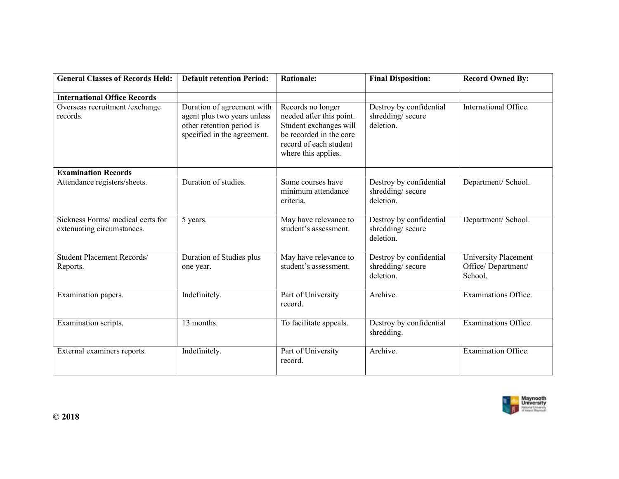| <b>General Classes of Records Held:</b>                         | <b>Default retention Period:</b>                                                                                      | <b>Rationale:</b>                                                                                                                                   | <b>Final Disposition:</b>                                | <b>Record Owned By:</b>                               |
|-----------------------------------------------------------------|-----------------------------------------------------------------------------------------------------------------------|-----------------------------------------------------------------------------------------------------------------------------------------------------|----------------------------------------------------------|-------------------------------------------------------|
| <b>International Office Records</b>                             |                                                                                                                       |                                                                                                                                                     |                                                          |                                                       |
| Overseas recruitment / exchange<br>records.                     | Duration of agreement with<br>agent plus two years unless<br>other retention period is<br>specified in the agreement. | Records no longer<br>needed after this point.<br>Student exchanges will<br>be recorded in the core<br>record of each student<br>where this applies. | Destroy by confidential<br>shredding/secure<br>deletion. | International Office.                                 |
| <b>Examination Records</b>                                      |                                                                                                                       |                                                                                                                                                     |                                                          |                                                       |
| Attendance registers/sheets.                                    | Duration of studies.                                                                                                  | Some courses have<br>minimum attendance<br>criteria.                                                                                                | Destroy by confidential<br>shredding/secure<br>deletion. | Department/ School.                                   |
| Sickness Forms/ medical certs for<br>extenuating circumstances. | 5 years.                                                                                                              | May have relevance to<br>student's assessment.                                                                                                      | Destroy by confidential<br>shredding/secure<br>deletion. | Department/ School.                                   |
| <b>Student Placement Records/</b><br>Reports.                   | Duration of Studies plus<br>one year.                                                                                 | May have relevance to<br>student's assessment.                                                                                                      | Destroy by confidential<br>shredding/secure<br>deletion. | University Placement<br>Office/Department/<br>School. |
| Examination papers.                                             | Indefinitely.                                                                                                         | Part of University<br>record.                                                                                                                       | Archive.                                                 | Examinations Office.                                  |
| Examination scripts.                                            | 13 months.                                                                                                            | To facilitate appeals.                                                                                                                              | Destroy by confidential<br>shredding.                    | Examinations Office.                                  |
| External examiners reports.                                     | Indefinitely.                                                                                                         | Part of University<br>record.                                                                                                                       | Archive.                                                 | Examination Office.                                   |

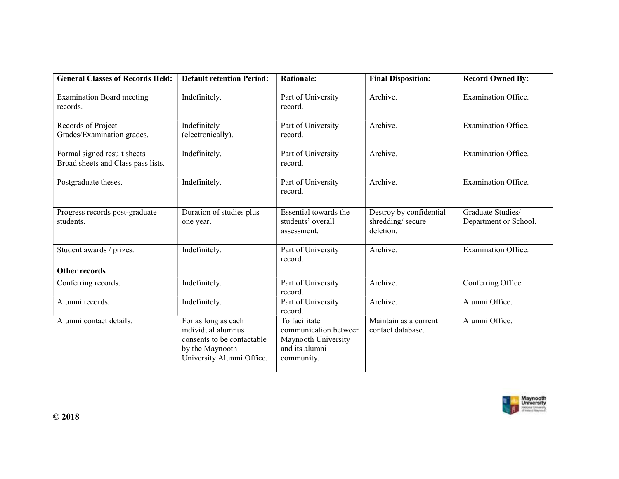| <b>General Classes of Records Held:</b>                           | <b>Default retention Period:</b>                                                                                        | <b>Rationale:</b>                                                                             | <b>Final Disposition:</b>                                | <b>Record Owned By:</b>                    |
|-------------------------------------------------------------------|-------------------------------------------------------------------------------------------------------------------------|-----------------------------------------------------------------------------------------------|----------------------------------------------------------|--------------------------------------------|
| <b>Examination Board meeting</b><br>records.                      | Indefinitely.                                                                                                           | Part of University<br>record.                                                                 | Archive.                                                 | Examination Office.                        |
| Records of Project<br>Grades/Examination grades.                  | Indefinitely<br>(electronically).                                                                                       | Part of University<br>record.                                                                 | Archive.                                                 | Examination Office.                        |
| Formal signed result sheets<br>Broad sheets and Class pass lists. | Indefinitely.                                                                                                           | Part of University<br>record.                                                                 | Archive.                                                 | Examination Office.                        |
| Postgraduate theses.                                              | Indefinitely.                                                                                                           | Part of University<br>record.                                                                 | Archive.                                                 | Examination Office.                        |
| Progress records post-graduate<br>students.                       | Duration of studies plus<br>one year.                                                                                   | Essential towards the<br>students' overall<br>assessment.                                     | Destroy by confidential<br>shredding/secure<br>deletion. | Graduate Studies/<br>Department or School. |
| Student awards / prizes.                                          | Indefinitely.                                                                                                           | Part of University<br>record.                                                                 | Archive.                                                 | Examination Office.                        |
| <b>Other records</b>                                              |                                                                                                                         |                                                                                               |                                                          |                                            |
| Conferring records.                                               | Indefinitely.                                                                                                           | Part of University<br>record.                                                                 | Archive.                                                 | Conferring Office.                         |
| Alumni records.                                                   | Indefinitely.                                                                                                           | Part of University<br>record.                                                                 | Archive.                                                 | Alumni Office.                             |
| Alumni contact details.                                           | For as long as each<br>individual alumnus<br>consents to be contactable<br>by the Maynooth<br>University Alumni Office. | To facilitate<br>communication between<br>Maynooth University<br>and its alumni<br>community. | Maintain as a current<br>contact database.               | Alumni Office.                             |

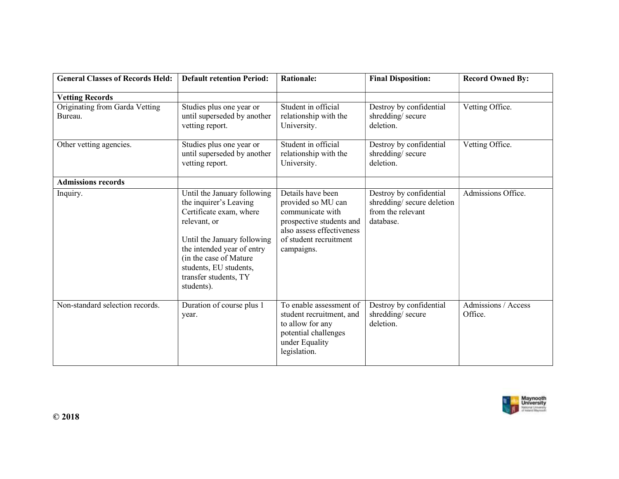| <b>General Classes of Records Held:</b>   | <b>Default retention Period:</b>                                                                                                                                                                                                                         | <b>Rationale:</b>                                                                                                                                            | <b>Final Disposition:</b>                                                              | <b>Record Owned By:</b>        |
|-------------------------------------------|----------------------------------------------------------------------------------------------------------------------------------------------------------------------------------------------------------------------------------------------------------|--------------------------------------------------------------------------------------------------------------------------------------------------------------|----------------------------------------------------------------------------------------|--------------------------------|
| <b>Vetting Records</b>                    |                                                                                                                                                                                                                                                          |                                                                                                                                                              |                                                                                        |                                |
| Originating from Garda Vetting<br>Bureau. | Studies plus one year or<br>until superseded by another<br>vetting report.                                                                                                                                                                               | Student in official<br>relationship with the<br>University.                                                                                                  | Destroy by confidential<br>shredding/secure<br>deletion.                               | Vetting Office.                |
| Other vetting agencies.                   | Studies plus one year or<br>until superseded by another<br>vetting report.                                                                                                                                                                               | Student in official<br>relationship with the<br>University.                                                                                                  | Destroy by confidential<br>shredding/secure<br>deletion.                               | Vetting Office.                |
| <b>Admissions records</b>                 |                                                                                                                                                                                                                                                          |                                                                                                                                                              |                                                                                        |                                |
| Inquiry.                                  | Until the January following<br>the inquirer's Leaving<br>Certificate exam, where<br>relevant, or<br>Until the January following<br>the intended year of entry<br>(in the case of Mature<br>students, EU students,<br>transfer students, TY<br>students). | Details have been<br>provided so MU can<br>communicate with<br>prospective students and<br>also assess effectiveness<br>of student recruitment<br>campaigns. | Destroy by confidential<br>shredding/secure deletion<br>from the relevant<br>database. | Admissions Office.             |
| Non-standard selection records.           | Duration of course plus 1<br>year.                                                                                                                                                                                                                       | To enable assessment of<br>student recruitment, and<br>to allow for any<br>potential challenges<br>under Equality<br>legislation.                            | Destroy by confidential<br>shredding/secure<br>deletion.                               | Admissions / Access<br>Office. |